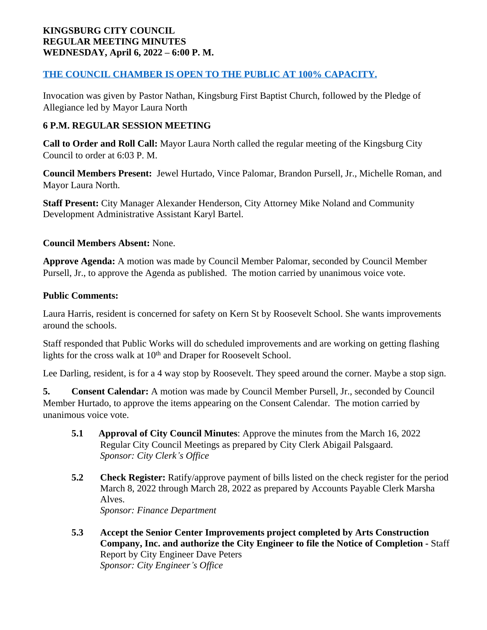### **KINGSBURG CITY COUNCIL REGULAR MEETING MINUTES WEDNESDAY, April 6, 2022 – 6:00 P. M.**

# **THE COUNCIL CHAMBER IS OPEN TO THE PUBLIC AT 100% CAPACITY.**

Invocation was given by Pastor Nathan, Kingsburg First Baptist Church, followed by the Pledge of Allegiance led by Mayor Laura North

# **6 P.M. REGULAR SESSION MEETING**

**Call to Order and Roll Call:** Mayor Laura North called the regular meeting of the Kingsburg City Council to order at 6:03 P. M.

**Council Members Present:** Jewel Hurtado, Vince Palomar, Brandon Pursell, Jr., Michelle Roman, and Mayor Laura North.

**Staff Present:** City Manager Alexander Henderson, City Attorney Mike Noland and Community Development Administrative Assistant Karyl Bartel.

### **Council Members Absent:** None.

**Approve Agenda:** A motion was made by Council Member Palomar, seconded by Council Member Pursell, Jr., to approve the Agenda as published. The motion carried by unanimous voice vote.

### **Public Comments:**

Laura Harris, resident is concerned for safety on Kern St by Roosevelt School. She wants improvements around the schools.

Staff responded that Public Works will do scheduled improvements and are working on getting flashing lights for the cross walk at 10<sup>th</sup> and Draper for Roosevelt School.

Lee Darling, resident, is for a 4 way stop by Roosevelt. They speed around the corner. Maybe a stop sign.

**5. Consent Calendar:** A motion was made by Council Member Pursell, Jr., seconded by Council Member Hurtado, to approve the items appearing on the Consent Calendar. The motion carried by unanimous voice vote.

- **5.1 Approval of City Council Minutes**: Approve the minutes from the March 16, 2022 Regular City Council Meetings as prepared by City Clerk Abigail Palsgaard. *Sponsor: City Clerk's Office*
- **5.2 Check Register:** Ratify/approve payment of bills listed on the check register for the period March 8, 2022 through March 28, 2022 as prepared by Accounts Payable Clerk Marsha Alves. *Sponsor: Finance Department*
- **5.3 Accept the Senior Center Improvements project completed by Arts Construction Company, Inc. and authorize the City Engineer to file the Notice of Completion -** Staff Report by City Engineer Dave Peters *Sponsor: City Engineer's Office*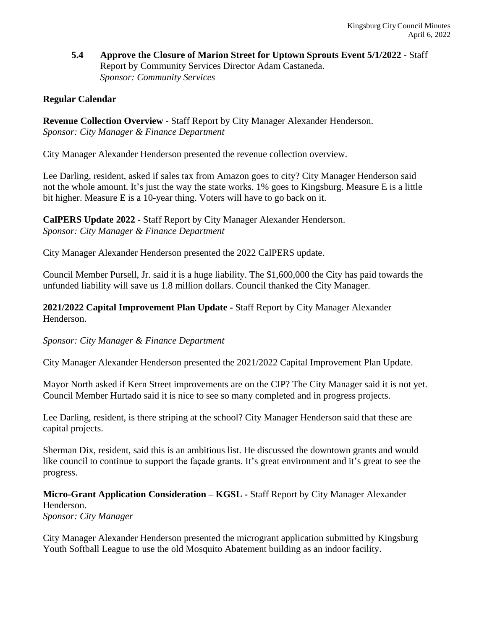**5.4 Approve the Closure of Marion Street for Uptown Sprouts Event 5/1/2022 -** Staff Report by Community Services Director Adam Castaneda. *Sponsor: Community Services*

# **Regular Calendar**

**Revenue Collection Overview -** Staff Report by City Manager Alexander Henderson. *Sponsor: City Manager & Finance Department*

City Manager Alexander Henderson presented the revenue collection overview.

Lee Darling, resident, asked if sales tax from Amazon goes to city? City Manager Henderson said not the whole amount. It's just the way the state works. 1% goes to Kingsburg. Measure E is a little bit higher. Measure E is a 10-year thing. Voters will have to go back on it.

**CalPERS Update 2022 -** Staff Report by City Manager Alexander Henderson. *Sponsor: City Manager & Finance Department*

City Manager Alexander Henderson presented the 2022 CalPERS update.

Council Member Pursell, Jr. said it is a huge liability. The \$1,600,000 the City has paid towards the unfunded liability will save us 1.8 million dollars. Council thanked the City Manager.

**2021/2022 Capital Improvement Plan Update -** Staff Report by City Manager Alexander Henderson.

#### *Sponsor: City Manager & Finance Department*

City Manager Alexander Henderson presented the 2021/2022 Capital Improvement Plan Update.

Mayor North asked if Kern Street improvements are on the CIP? The City Manager said it is not yet. Council Member Hurtado said it is nice to see so many completed and in progress projects.

Lee Darling, resident, is there striping at the school? City Manager Henderson said that these are capital projects.

Sherman Dix, resident, said this is an ambitious list. He discussed the downtown grants and would like council to continue to support the façade grants. It's great environment and it's great to see the progress.

**Micro-Grant Application Consideration – KGSL -** Staff Report by City Manager Alexander Henderson. *Sponsor: City Manager*

City Manager Alexander Henderson presented the microgrant application submitted by Kingsburg Youth Softball League to use the old Mosquito Abatement building as an indoor facility.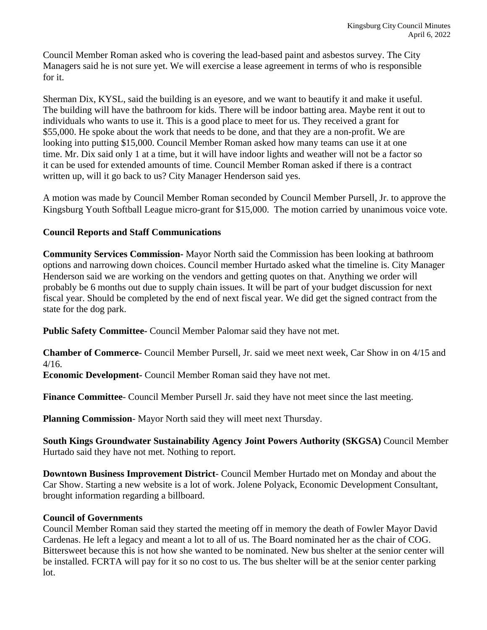Council Member Roman asked who is covering the lead-based paint and asbestos survey. The City Managers said he is not sure yet. We will exercise a lease agreement in terms of who is responsible for it.

Sherman Dix, KYSL, said the building is an eyesore, and we want to beautify it and make it useful. The building will have the bathroom for kids. There will be indoor batting area. Maybe rent it out to individuals who wants to use it. This is a good place to meet for us. They received a grant for \$55,000. He spoke about the work that needs to be done, and that they are a non-profit. We are looking into putting \$15,000. Council Member Roman asked how many teams can use it at one time. Mr. Dix said only 1 at a time, but it will have indoor lights and weather will not be a factor so it can be used for extended amounts of time. Council Member Roman asked if there is a contract written up, will it go back to us? City Manager Henderson said yes.

A motion was made by Council Member Roman seconded by Council Member Pursell, Jr. to approve the Kingsburg Youth Softball League micro-grant for \$15,000. The motion carried by unanimous voice vote.

### **Council Reports and Staff Communications**

**Community Services Commission-** Mayor North said the Commission has been looking at bathroom options and narrowing down choices. Council member Hurtado asked what the timeline is. City Manager Henderson said we are working on the vendors and getting quotes on that. Anything we order will probably be 6 months out due to supply chain issues. It will be part of your budget discussion for next fiscal year. Should be completed by the end of next fiscal year. We did get the signed contract from the state for the dog park.

**Public Safety Committee-** Council Member Palomar said they have not met.

**Chamber of Commerce-** Council Member Pursell, Jr. said we meet next week, Car Show in on 4/15 and 4/16.

**Economic Development-** Council Member Roman said they have not met.

**Finance Committee**- Council Member Pursell Jr. said they have not meet since the last meeting.

**Planning Commission**- Mayor North said they will meet next Thursday.

**South Kings Groundwater Sustainability Agency Joint Powers Authority (SKGSA)** Council Member Hurtado said they have not met. Nothing to report.

**Downtown Business Improvement District**- Council Member Hurtado met on Monday and about the Car Show. Starting a new website is a lot of work. Jolene Polyack, Economic Development Consultant, brought information regarding a billboard.

### **Council of Governments**

Council Member Roman said they started the meeting off in memory the death of Fowler Mayor David Cardenas. He left a legacy and meant a lot to all of us. The Board nominated her as the chair of COG. Bittersweet because this is not how she wanted to be nominated. New bus shelter at the senior center will be installed. FCRTA will pay for it so no cost to us. The bus shelter will be at the senior center parking lot.